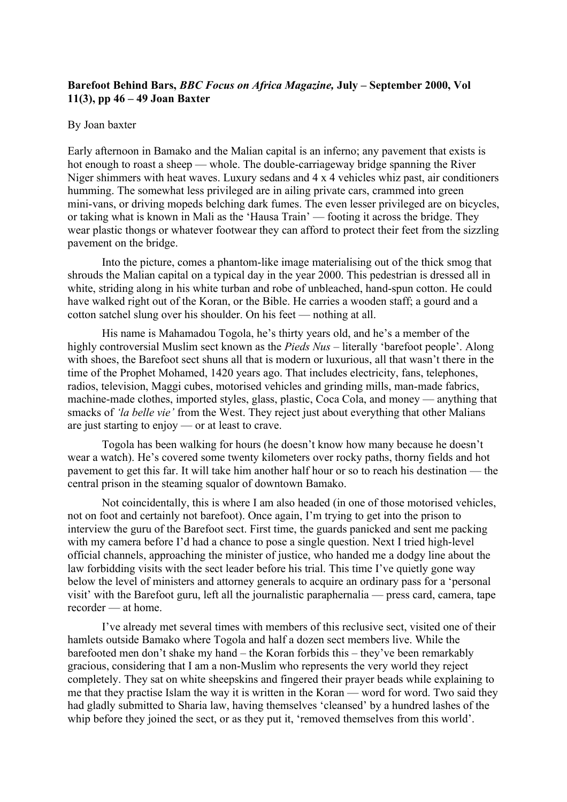## **Barefoot Behind Bars,** *BBC Focus on Africa Magazine,* **July – September 2000, Vol 11(3), pp 46 – 49 Joan Baxter**

## By Joan baxter

Early afternoon in Bamako and the Malian capital is an inferno; any pavement that exists is hot enough to roast a sheep — whole. The double-carriageway bridge spanning the River Niger shimmers with heat waves. Luxury sedans and 4 x 4 vehicles whiz past, air conditioners humming. The somewhat less privileged are in ailing private cars, crammed into green mini-vans, or driving mopeds belching dark fumes. The even lesser privileged are on bicycles, or taking what is known in Mali as the 'Hausa Train' — footing it across the bridge. They wear plastic thongs or whatever footwear they can afford to protect their feet from the sizzling pavement on the bridge.

Into the picture, comes a phantom-like image materialising out of the thick smog that shrouds the Malian capital on a typical day in the year 2000. This pedestrian is dressed all in white, striding along in his white turban and robe of unbleached, hand-spun cotton. He could have walked right out of the Koran, or the Bible. He carries a wooden staff; a gourd and a cotton satchel slung over his shoulder. On his feet — nothing at all.

His name is Mahamadou Togola, he's thirty years old, and he's a member of the highly controversial Muslim sect known as the *Pieds Nus* – literally 'barefoot people'. Along with shoes, the Barefoot sect shuns all that is modern or luxurious, all that wasn't there in the time of the Prophet Mohamed, 1420 years ago. That includes electricity, fans, telephones, radios, television, Maggi cubes, motorised vehicles and grinding mills, man-made fabrics, machine-made clothes, imported styles, glass, plastic, Coca Cola, and money — anything that smacks of *'la belle vie'* from the West. They reject just about everything that other Malians are just starting to enjoy — or at least to crave.

Togola has been walking for hours (he doesn't know how many because he doesn't wear a watch). He's covered some twenty kilometers over rocky paths, thorny fields and hot pavement to get this far. It will take him another half hour or so to reach his destination — the central prison in the steaming squalor of downtown Bamako.

Not coincidentally, this is where I am also headed (in one of those motorised vehicles, not on foot and certainly not barefoot). Once again, I'm trying to get into the prison to interview the guru of the Barefoot sect. First time, the guards panicked and sent me packing with my camera before I'd had a chance to pose a single question. Next I tried high-level official channels, approaching the minister of justice, who handed me a dodgy line about the law forbidding visits with the sect leader before his trial. This time I've quietly gone way below the level of ministers and attorney generals to acquire an ordinary pass for a 'personal visit' with the Barefoot guru, left all the journalistic paraphernalia — press card, camera, tape recorder — at home.

I've already met several times with members of this reclusive sect, visited one of their hamlets outside Bamako where Togola and half a dozen sect members live. While the barefooted men don't shake my hand – the Koran forbids this – they've been remarkably gracious, considering that I am a non-Muslim who represents the very world they reject completely. They sat on white sheepskins and fingered their prayer beads while explaining to me that they practise Islam the way it is written in the Koran — word for word. Two said they had gladly submitted to Sharia law, having themselves 'cleansed' by a hundred lashes of the whip before they joined the sect, or as they put it, 'removed themselves from this world'.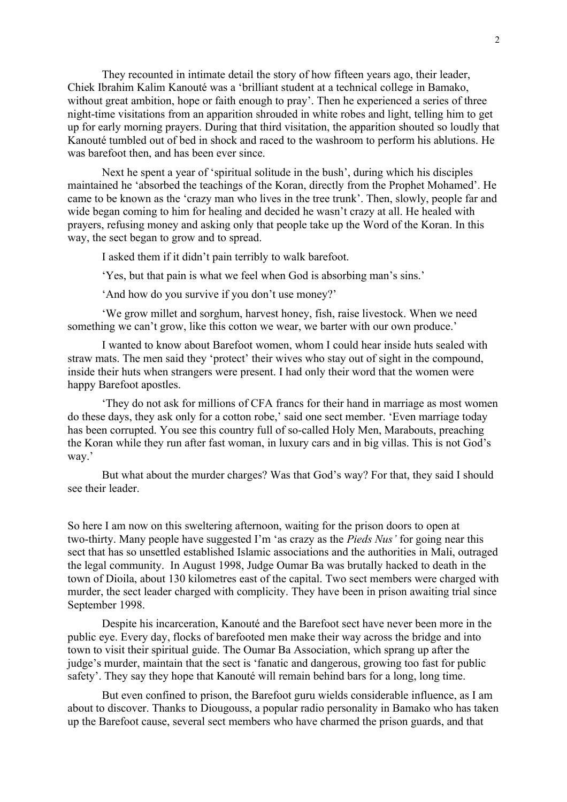They recounted in intimate detail the story of how fifteen years ago, their leader, Chiek Ibrahim Kalim Kanouté was a 'brilliant student at a technical college in Bamako, without great ambition, hope or faith enough to pray'. Then he experienced a series of three night-time visitations from an apparition shrouded in white robes and light, telling him to get up for early morning prayers. During that third visitation, the apparition shouted so loudly that Kanouté tumbled out of bed in shock and raced to the washroom to perform his ablutions. He was barefoot then, and has been ever since.

Next he spent a year of 'spiritual solitude in the bush', during which his disciples maintained he 'absorbed the teachings of the Koran, directly from the Prophet Mohamed'. He came to be known as the 'crazy man who lives in the tree trunk'. Then, slowly, people far and wide began coming to him for healing and decided he wasn't crazy at all. He healed with prayers, refusing money and asking only that people take up the Word of the Koran. In this way, the sect began to grow and to spread.

I asked them if it didn't pain terribly to walk barefoot.

'Yes, but that pain is what we feel when God is absorbing man's sins.'

'And how do you survive if you don't use money?'

'We grow millet and sorghum, harvest honey, fish, raise livestock. When we need something we can't grow, like this cotton we wear, we barter with our own produce.'

I wanted to know about Barefoot women, whom I could hear inside huts sealed with straw mats. The men said they 'protect' their wives who stay out of sight in the compound, inside their huts when strangers were present. I had only their word that the women were happy Barefoot apostles.

'They do not ask for millions of CFA francs for their hand in marriage as most women do these days, they ask only for a cotton robe,' said one sect member. 'Even marriage today has been corrupted. You see this country full of so-called Holy Men, Marabouts, preaching the Koran while they run after fast woman, in luxury cars and in big villas. This is not God's way.'

But what about the murder charges? Was that God's way? For that, they said I should see their leader.

So here I am now on this sweltering afternoon, waiting for the prison doors to open at two-thirty. Many people have suggested I'm 'as crazy as the *Pieds Nus'* for going near this sect that has so unsettled established Islamic associations and the authorities in Mali, outraged the legal community. In August 1998, Judge Oumar Ba was brutally hacked to death in the town of Dioila, about 130 kilometres east of the capital. Two sect members were charged with murder, the sect leader charged with complicity. They have been in prison awaiting trial since September 1998.

Despite his incarceration, Kanouté and the Barefoot sect have never been more in the public eye. Every day, flocks of barefooted men make their way across the bridge and into town to visit their spiritual guide. The Oumar Ba Association, which sprang up after the judge's murder, maintain that the sect is 'fanatic and dangerous, growing too fast for public safety'. They say they hope that Kanouté will remain behind bars for a long, long time.

But even confined to prison, the Barefoot guru wields considerable influence, as I am about to discover. Thanks to Diougouss, a popular radio personality in Bamako who has taken up the Barefoot cause, several sect members who have charmed the prison guards, and that